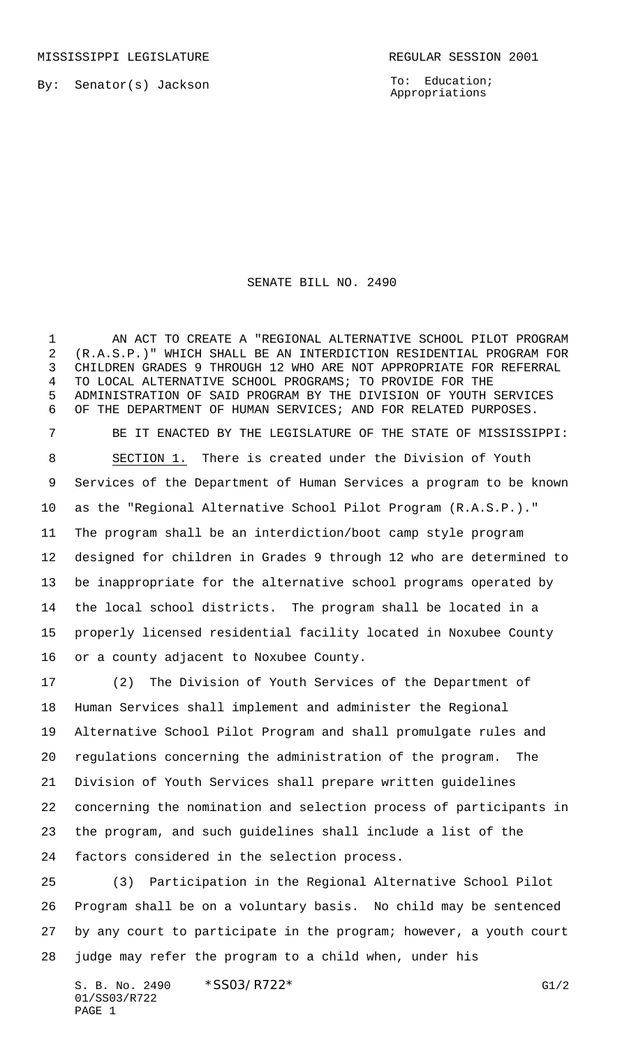By: Senator(s) Jackson

To: Education; Appropriations

## SENATE BILL NO. 2490

1 AN ACT TO CREATE A "REGIONAL ALTERNATIVE SCHOOL PILOT PROGRAM (R.A.S.P.)" WHICH SHALL BE AN INTERDICTION RESIDENTIAL PROGRAM FOR CHILDREN GRADES 9 THROUGH 12 WHO ARE NOT APPROPRIATE FOR REFERRAL TO LOCAL ALTERNATIVE SCHOOL PROGRAMS; TO PROVIDE FOR THE ADMINISTRATION OF SAID PROGRAM BY THE DIVISION OF YOUTH SERVICES OF THE DEPARTMENT OF HUMAN SERVICES; AND FOR RELATED PURPOSES.

 BE IT ENACTED BY THE LEGISLATURE OF THE STATE OF MISSISSIPPI: SECTION 1. There is created under the Division of Youth Services of the Department of Human Services a program to be known as the "Regional Alternative School Pilot Program (R.A.S.P.)." The program shall be an interdiction/boot camp style program designed for children in Grades 9 through 12 who are determined to be inappropriate for the alternative school programs operated by the local school districts. The program shall be located in a properly licensed residential facility located in Noxubee County or a county adjacent to Noxubee County.

 (2) The Division of Youth Services of the Department of Human Services shall implement and administer the Regional Alternative School Pilot Program and shall promulgate rules and regulations concerning the administration of the program. The Division of Youth Services shall prepare written guidelines concerning the nomination and selection process of participants in the program, and such guidelines shall include a list of the factors considered in the selection process.

 (3) Participation in the Regional Alternative School Pilot Program shall be on a voluntary basis. No child may be sentenced by any court to participate in the program; however, a youth court judge may refer the program to a child when, under his

S. B. No. 2490 \* SSO3/R722\* G1/2 01/SS03/R722 PAGE 1